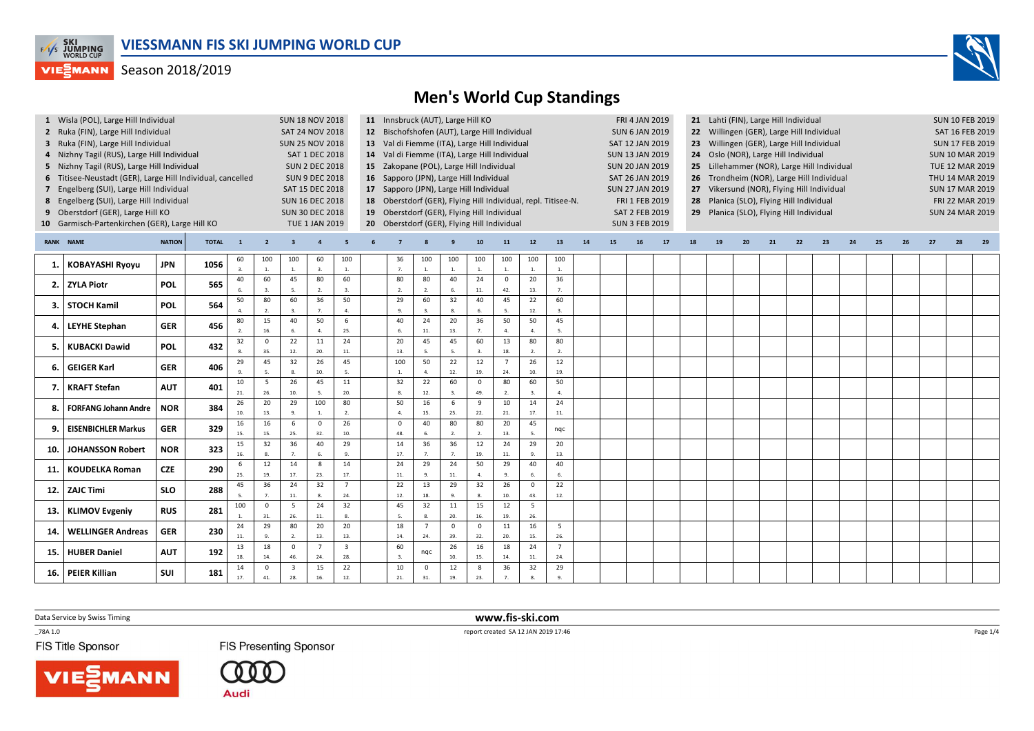

#### VIESMANN Season 2018/2019



# **Men's World Cup Standings**

|     | 1 Wisla (POL), Large Hill Individual<br>2 Ruka (FIN), Large Hill Individual<br>3 Ruka (FIN), Large Hill Individual<br>4 Nizhny Tagil (RUS), Large Hill Individual<br>5 Nizhny Tagil (RUS), Large Hill Individual<br>6 Titisee-Neustadt (GER), Large Hill Individual, cancelled<br>7 Engelberg (SUI), Large Hill Individual<br>8 Engelberg (SUI), Large Hill Individual<br>9 Oberstdorf (GER), Large Hill KO<br>10 Garmisch-Partenkirchen (GER), Large Hill KO |                                                                       |      | <b>SUN 18 NOV 2018</b><br><b>SUN 25 NOV 2018</b><br><b>SUN 16 DEC 2018</b><br><b>SUN 30 DEC 2018</b> | <b>SAT 24 NOV 2018</b><br>SAT 1 DEC 2018<br><b>SUN 2 DEC 2018</b><br><b>SUN 9 DEC 2018</b><br>SAT 15 DEC 2018<br><b>TUE 1 JAN 2019</b> |                               | 11 Innsbruck (AUT), Large Hill KO<br>12 Bischofshofen (AUT), Large Hill Individual<br>13 Val di Fiemme (ITA), Large Hill Individual<br>14 Val di Fiemme (ITA), Large Hill Individual<br>15 Zakopane (POL), Large Hill Individual<br>16 Sapporo (JPN), Large Hill Individual<br>17 Sapporo (JPN), Large Hill Individual<br>19 Oberstdorf (GER), Flying Hill Individual<br>20 Oberstdorf (GER), Flying Hill Individual |                                |                        |                         |                 |                      | 18 Oberstdorf (GER), Flying Hill Individual, repl. Titisee-N. |                        |                       | FRI 4 JAN 2019<br><b>SUN 6 JAN 2019</b><br>SAT 12 JAN 2019<br><b>SUN 13 JAN 2019</b><br><b>SUN 20 JAN 2019</b><br>SAT 26 JAN 2019<br><b>SUN 27 JAN 2019</b><br>FRI 1 FEB 2019<br>SAT 2 FEB 2019<br><b>SUN 3 FEB 2019</b> |    | 21 Lahti (FIN), Large Hill Individual<br>22 Willingen (GER), Large Hill Individual<br>Willingen (GER), Large Hill Individual<br>23<br>Oslo (NOR), Large Hill Individual<br>24<br>Lillehammer (NOR), Large Hill Individual<br>25<br>26 Trondheim (NOR), Large Hill Individual<br>Vikersund (NOR), Flying Hill Individual<br>27<br>Planica (SLO), Flying Hill Individual<br>28<br>29 Planica (SLO), Flying Hill Individual |    |    |    |    |    |    |    |    |    | <b>SUN 10 FEB 2019</b><br>SAT 16 FEB 2019<br><b>SUN 17 FEB 2019</b><br><b>SUN 10 MAR 2019</b><br>TUE 12 MAR 2019<br>THU 14 MAR 2019<br><b>SUN 17 MAR 2019</b><br>FRI 22 MAR 2019<br><b>SUN 24 MAR 2019</b> |    |    |  |  |
|-----|---------------------------------------------------------------------------------------------------------------------------------------------------------------------------------------------------------------------------------------------------------------------------------------------------------------------------------------------------------------------------------------------------------------------------------------------------------------|-----------------------------------------------------------------------|------|------------------------------------------------------------------------------------------------------|----------------------------------------------------------------------------------------------------------------------------------------|-------------------------------|----------------------------------------------------------------------------------------------------------------------------------------------------------------------------------------------------------------------------------------------------------------------------------------------------------------------------------------------------------------------------------------------------------------------|--------------------------------|------------------------|-------------------------|-----------------|----------------------|---------------------------------------------------------------|------------------------|-----------------------|--------------------------------------------------------------------------------------------------------------------------------------------------------------------------------------------------------------------------|----|--------------------------------------------------------------------------------------------------------------------------------------------------------------------------------------------------------------------------------------------------------------------------------------------------------------------------------------------------------------------------------------------------------------------------|----|----|----|----|----|----|----|----|----|------------------------------------------------------------------------------------------------------------------------------------------------------------------------------------------------------------|----|----|--|--|
|     | <b>RANK NAME</b>                                                                                                                                                                                                                                                                                                                                                                                                                                              | <b>NATION</b><br><b>TOTAL</b><br>$\overline{2}$<br>$\mathbf{1}$<br>60 |      |                                                                                                      |                                                                                                                                        |                               |                                                                                                                                                                                                                                                                                                                                                                                                                      |                                |                        |                         |                 | 10                   | 11                                                            | $12$                   | 13                    | 14                                                                                                                                                                                                                       | 15 | 16                                                                                                                                                                                                                                                                                                                                                                                                                       | 17 | 18 | 19 | 20 | 21 | 22 | 23 | 24 | 25 | 26                                                                                                                                                                                                         | 27 | 28 |  |  |
| 1.  | <b>KOBAYASHI Ryoyu</b>                                                                                                                                                                                                                                                                                                                                                                                                                                        | <b>JPN</b>                                                            | 1056 | $\overline{a}$                                                                                       | 100<br>$1$ .                                                                                                                           | 100<br>1.                     | 60<br>3.                                                                                                                                                                                                                                                                                                                                                                                                             | 100<br>1.                      | 36<br>$\overline{7}$ . | 100<br>$\overline{1}$ . | 100<br>1.       | 100<br>$\mathbf{1}$  | 100<br>1.                                                     | 100<br>1.              | 100<br>$\mathbf{1}$   |                                                                                                                                                                                                                          |    |                                                                                                                                                                                                                                                                                                                                                                                                                          |    |    |    |    |    |    |    |    |    |                                                                                                                                                                                                            |    |    |  |  |
| 2.  | <b>ZYLA Piotr</b>                                                                                                                                                                                                                                                                                                                                                                                                                                             | <b>POL</b>                                                            | 565  | 40                                                                                                   | 60                                                                                                                                     | 45<br>5.                      | 80<br>2.                                                                                                                                                                                                                                                                                                                                                                                                             | 60<br>$\overline{3}$           | 80<br>$\overline{2}$   | 80<br>$\overline{2}$    | 40              | 24<br>11.            | $\mathbf 0$<br>42.                                            | 20<br>13.              | 36                    |                                                                                                                                                                                                                          |    |                                                                                                                                                                                                                                                                                                                                                                                                                          |    |    |    |    |    |    |    |    |    |                                                                                                                                                                                                            |    |    |  |  |
| 3.  | STOCH Kamil                                                                                                                                                                                                                                                                                                                                                                                                                                                   | <b>POL</b>                                                            | 564  | 50                                                                                                   | 80                                                                                                                                     | 60                            | 36<br>$\overline{7}$                                                                                                                                                                                                                                                                                                                                                                                                 | 50<br>$\mathbf{A}$             | 29<br>9.               | 60<br>$\mathbf{3}$      | 32<br>8.        | 40<br>6.             | 45<br>-5.                                                     | 22<br>12.              | 60<br>$\overline{3}$  |                                                                                                                                                                                                                          |    |                                                                                                                                                                                                                                                                                                                                                                                                                          |    |    |    |    |    |    |    |    |    |                                                                                                                                                                                                            |    |    |  |  |
| 4.  | <b>LEYHE Stephan</b>                                                                                                                                                                                                                                                                                                                                                                                                                                          | <b>GER</b>                                                            | 456  | 80<br>$\overline{2}$                                                                                 | 15<br>16.                                                                                                                              | 40                            | 50<br>4.                                                                                                                                                                                                                                                                                                                                                                                                             | 6<br>25.                       | 40<br>6.               | 24<br>11.               | 20<br>13.       | 36                   | 50<br>$\overline{a}$                                          | 50<br>$\overline{4}$   | 45<br>5.              |                                                                                                                                                                                                                          |    |                                                                                                                                                                                                                                                                                                                                                                                                                          |    |    |    |    |    |    |    |    |    |                                                                                                                                                                                                            |    |    |  |  |
| 5.  | <b>KUBACKI Dawid</b>                                                                                                                                                                                                                                                                                                                                                                                                                                          | <b>POL</b>                                                            | 432  | 32                                                                                                   | $\mathbf 0$<br>35.                                                                                                                     | 22<br>12.                     | 11<br>20.                                                                                                                                                                                                                                                                                                                                                                                                            | 24<br>$\bf 11.$                | 20<br>13.              | 45<br>-5.               | 45<br>5.        | 60<br>$\mathbf{3}$   | 13<br>18.                                                     | 80<br>$\overline{2}$ . | 80<br>$\overline{2}$  |                                                                                                                                                                                                                          |    |                                                                                                                                                                                                                                                                                                                                                                                                                          |    |    |    |    |    |    |    |    |    |                                                                                                                                                                                                            |    |    |  |  |
| 6.  | <b>GEIGER Karl</b>                                                                                                                                                                                                                                                                                                                                                                                                                                            | <b>GER</b>                                                            | 406  | 29                                                                                                   | 45                                                                                                                                     | 32                            | 26<br>10.                                                                                                                                                                                                                                                                                                                                                                                                            | 45<br>5.                       | 100<br>1.              | 50<br>4.                | 22<br>12.       | 12<br>19.            | $\overline{7}$<br>24.                                         | 26<br>10.              | 12<br>19.             |                                                                                                                                                                                                                          |    |                                                                                                                                                                                                                                                                                                                                                                                                                          |    |    |    |    |    |    |    |    |    |                                                                                                                                                                                                            |    |    |  |  |
| 7.  | <b>KRAFT Stefan</b>                                                                                                                                                                                                                                                                                                                                                                                                                                           | <b>AUT</b>                                                            | 401  | 10<br>21.                                                                                            | 5<br>26.                                                                                                                               | 26<br>10.                     | 45<br>-5.                                                                                                                                                                                                                                                                                                                                                                                                            | 11<br>20.                      | 32<br>8.               | 22<br>12.               | 60<br>3.        | $\mathbf 0$<br>49.   | 80<br>$\overline{2}$                                          | 60<br>3.               | 50<br>$\overline{a}$  |                                                                                                                                                                                                                          |    |                                                                                                                                                                                                                                                                                                                                                                                                                          |    |    |    |    |    |    |    |    |    |                                                                                                                                                                                                            |    |    |  |  |
| 8.  | <b>FORFANG Johann Andre</b>                                                                                                                                                                                                                                                                                                                                                                                                                                   | <b>NOR</b>                                                            | 384  | 26<br>10.                                                                                            | 20<br>13.                                                                                                                              | 29<br>9.                      | 100<br>1.                                                                                                                                                                                                                                                                                                                                                                                                            | 80<br>2.                       | 50<br>$\mathbf{A}$     | 16<br>15.               | 6<br>25.        | 9<br>22.             | 10<br>21.                                                     | 14<br>17.              | 24<br>11.             |                                                                                                                                                                                                                          |    |                                                                                                                                                                                                                                                                                                                                                                                                                          |    |    |    |    |    |    |    |    |    |                                                                                                                                                                                                            |    |    |  |  |
| 9.  | <b>EISENBICHLER Markus</b>                                                                                                                                                                                                                                                                                                                                                                                                                                    | <b>GER</b>                                                            | 329  | 16<br>15.                                                                                            | 16<br>15.                                                                                                                              | 6<br>25.                      | $\mathsf 0$<br>32.                                                                                                                                                                                                                                                                                                                                                                                                   | 26<br>10.                      | $\mathbf 0$<br>48.     | 40                      | 80              | 80                   | 20<br>13.                                                     | 45                     | nqc                   |                                                                                                                                                                                                                          |    |                                                                                                                                                                                                                                                                                                                                                                                                                          |    |    |    |    |    |    |    |    |    |                                                                                                                                                                                                            |    |    |  |  |
| 10. | <b>JOHANSSON Robert</b>                                                                                                                                                                                                                                                                                                                                                                                                                                       | <b>NOR</b>                                                            | 323  | 15<br>16.                                                                                            | 32<br>8.                                                                                                                               | 36<br>$\overline{7}$ .        | 40<br>6.                                                                                                                                                                                                                                                                                                                                                                                                             | 29<br>9.                       | 14<br>17.              | 36<br>7.                | 36<br>7.        | 12<br>19.            | 24<br>11.                                                     | 29<br>9.               | 20<br>13.             |                                                                                                                                                                                                                          |    |                                                                                                                                                                                                                                                                                                                                                                                                                          |    |    |    |    |    |    |    |    |    |                                                                                                                                                                                                            |    |    |  |  |
| 11. | <b>KOUDELKA Roman</b>                                                                                                                                                                                                                                                                                                                                                                                                                                         | <b>CZE</b>                                                            | 290  | 25.                                                                                                  | 12<br>19.                                                                                                                              | 14<br>17.                     | 8<br>23.                                                                                                                                                                                                                                                                                                                                                                                                             | 14<br>17.                      | 24<br>$11.$            | 29                      | 24<br>$\bf 11.$ | 50<br>$\overline{4}$ | 29<br>9.                                                      | 40<br>6.               | 40                    |                                                                                                                                                                                                                          |    |                                                                                                                                                                                                                                                                                                                                                                                                                          |    |    |    |    |    |    |    |    |    |                                                                                                                                                                                                            |    |    |  |  |
| 12. | <b>ZAJC Timi</b>                                                                                                                                                                                                                                                                                                                                                                                                                                              | <b>SLO</b>                                                            | 288  | 45                                                                                                   | 36                                                                                                                                     | 24                            | 32<br>8.                                                                                                                                                                                                                                                                                                                                                                                                             | $\overline{7}$                 | 22                     | 13                      | 29              | 32                   | 26                                                            | $\mathbf 0$            | 22                    |                                                                                                                                                                                                                          |    |                                                                                                                                                                                                                                                                                                                                                                                                                          |    |    |    |    |    |    |    |    |    |                                                                                                                                                                                                            |    |    |  |  |
| 13. | <b>KLIMOV Evgeniy</b>                                                                                                                                                                                                                                                                                                                                                                                                                                         | <b>RUS</b>                                                            | 281  | 100                                                                                                  | $\mathbf 0$                                                                                                                            | $11.$<br>5                    | 24                                                                                                                                                                                                                                                                                                                                                                                                                   | 24.<br>32                      | 12.<br>45              | 18.<br>32               | ${\bf 11}$      | $\mathbf{g}$<br>15   | 10.<br>12                                                     | 43.<br>5               | 12.                   |                                                                                                                                                                                                                          |    |                                                                                                                                                                                                                                                                                                                                                                                                                          |    |    |    |    |    |    |    |    |    |                                                                                                                                                                                                            |    |    |  |  |
| 14. | <b>WELLINGER Andreas</b>                                                                                                                                                                                                                                                                                                                                                                                                                                      | <b>GER</b>                                                            | 230  | 24                                                                                                   | 31.<br>29                                                                                                                              | 26.<br>80                     | 11.<br>20                                                                                                                                                                                                                                                                                                                                                                                                            | 8.<br>20                       | 5.<br>18               | 8.<br>$\overline{7}$    | 20.<br>$\Omega$ | 16.<br>$\mathbf 0$   | 19.<br>11                                                     | 26.<br>16              | 5                     |                                                                                                                                                                                                                          |    |                                                                                                                                                                                                                                                                                                                                                                                                                          |    |    |    |    |    |    |    |    |    |                                                                                                                                                                                                            |    |    |  |  |
| 15. | <b>HUBER Daniel</b>                                                                                                                                                                                                                                                                                                                                                                                                                                           | <b>AUT</b>                                                            | 192  | $11.$<br>13                                                                                          | 18                                                                                                                                     | $\mathcal{L}$<br>$\mathbf{0}$ | 13.<br>$\overline{7}$                                                                                                                                                                                                                                                                                                                                                                                                | 13.<br>$\overline{\mathbf{3}}$ | 14.<br>60              | 24.<br>nqc              | 39.<br>26       | 32.<br>16            | 20.<br>18                                                     | 15.<br>24              | 26.<br>$\overline{7}$ |                                                                                                                                                                                                                          |    |                                                                                                                                                                                                                                                                                                                                                                                                                          |    |    |    |    |    |    |    |    |    |                                                                                                                                                                                                            |    |    |  |  |
|     |                                                                                                                                                                                                                                                                                                                                                                                                                                                               |                                                                       |      | 18.<br>14                                                                                            | 14.<br>$\mathbf 0$                                                                                                                     | 46.<br>3                      | 24.<br>15                                                                                                                                                                                                                                                                                                                                                                                                            | 28.<br>22                      | $\overline{3}$ .<br>10 | $\mathbf 0$             | 10.<br>12       | 15.<br>8             | 14.<br>36                                                     | 11.<br>32              | 24.<br>29             |                                                                                                                                                                                                                          |    |                                                                                                                                                                                                                                                                                                                                                                                                                          |    |    |    |    |    |    |    |    |    |                                                                                                                                                                                                            |    |    |  |  |
| 16. | PEIER Killian                                                                                                                                                                                                                                                                                                                                                                                                                                                 | SUI                                                                   | 181  | 17.                                                                                                  | 41.                                                                                                                                    | 28.                           | 16.                                                                                                                                                                                                                                                                                                                                                                                                                  | 12.                            | 21.                    | 31.                     | 19.             | 23.                  |                                                               | 8.                     |                       |                                                                                                                                                                                                                          |    |                                                                                                                                                                                                                                                                                                                                                                                                                          |    |    |    |    |    |    |    |    |    |                                                                                                                                                                                                            |    |    |  |  |

Data Service by Swiss Timing

\_78A 1.0

FIS Title Sponsor

**MANN** 

**FIS Presenting Sponsor** 

 $(000$ Audi

 **www.fis-ski.com**report created SA 12 JAN 2019 17:46

Page 1/4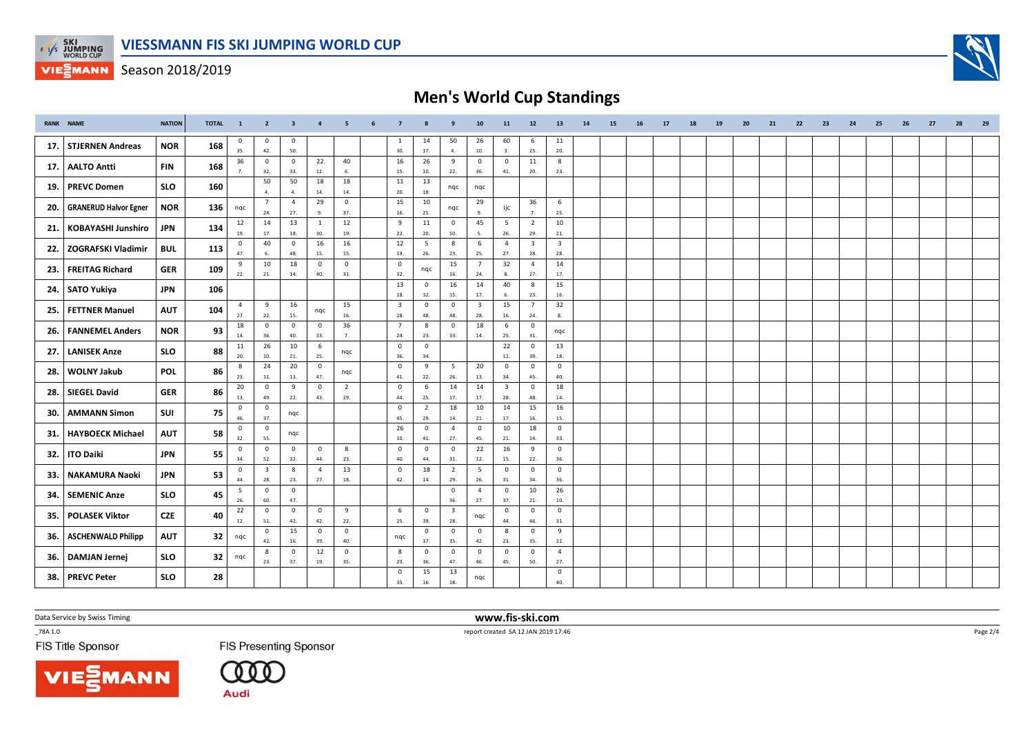

VIESMANN Season 2018/2019

# **Men's World Cup Standings**

|     | <b>RANK NAME</b>             | <b>NATION</b> | <b>TOTAL</b> | $\mathbf{1}$           | $\overline{2}$        | $\overline{\mathbf{3}}$ | $\overline{a}$        | - 5                | 6 | $\overline{7}$                 |                       | 9                              | $10$                           | 11                             | $12\,$                         | 13                             | 14 | 15 | 16 | 17 | 18 | 19 | 20 | 21 | 22 | 23 | 24 | 25 | 26 | 27 | 28 | 29 |
|-----|------------------------------|---------------|--------------|------------------------|-----------------------|-------------------------|-----------------------|--------------------|---|--------------------------------|-----------------------|--------------------------------|--------------------------------|--------------------------------|--------------------------------|--------------------------------|----|----|----|----|----|----|----|----|----|----|----|----|----|----|----|----|
| 17. | <b>STJERNEN Andreas</b>      | <b>NOR</b>    | 168          | 0<br>35.               | $\mathbf{0}$<br>42.   | $^{\circ}$<br>50.       |                       |                    |   | $\mathbf{1}$<br>30.            | 14<br>17.             | 50<br>4.                       | 26<br>10.                      | 60<br>3.                       | -6<br>25.                      | 11<br>20.                      |    |    |    |    |    |    |    |    |    |    |    |    |    |    |    |    |
| 17. | <b>AALTO Antti</b>           | <b>FIN</b>    | 168          | 36<br>$\overline{7}$ . | $\overline{0}$<br>32. | $\mathbf 0$<br>33.      | 22<br>12.             | 40<br>6.           |   | 16<br>15.                      | 26<br>10.             | 9<br>22.                       | $\mathbf 0$<br>36.             | $\mathbf 0$<br>41.             | 11<br>20.                      | 8<br>23.                       |    |    |    |    |    |    |    |    |    |    |    |    |    |    |    |    |
| 19. | <b>PREVC Domen</b>           | <b>SLO</b>    | 160          |                        | 50<br>$\mathbf{A}$    | 50<br>4.                | 18<br>14.             | 18<br>14.          |   | 11<br>20.                      | 13<br>18.             | ngc                            | nqc                            |                                |                                |                                |    |    |    |    |    |    |    |    |    |    |    |    |    |    |    |    |
| 20. | <b>GRANERUD Halvor Egner</b> | <b>NOR</b>    | 136          | nqc                    | $\overline{7}$<br>24. | $\overline{4}$<br>27.   | 29<br>9.              | $\mathbf 0$<br>37. |   | 15<br>16.                      | 10<br>21.             | nqc                            | 29<br>9.                       | ijc                            | 36<br>7.                       | 6<br>25.                       |    |    |    |    |    |    |    |    |    |    |    |    |    |    |    |    |
| 21. | <b>KOBAYASHI Junshiro</b>    | <b>JPN</b>    | 134          | 12<br>19.              | 14<br>17.             | 13                      | $\mathbf{1}$          | 12<br>19.          |   | 9<br>22.                       | 11<br>20.             | $\overline{0}$                 | 45<br>5.                       | 5<br>26.                       | $\overline{2}$                 | 10                             |    |    |    |    |    |    |    |    |    |    |    |    |    |    |    |    |
| 22. | <b>ZOGRAFSKI Vladimir</b>    | <b>BUL</b>    | 113          | $^{\circ}$             | 40                    | 18.<br>$\mathbf{0}$     | 30.<br>16             | 16                 |   | 12                             | 5                     | 50.<br>8                       | 6                              | $\overline{4}$                 | 29.<br>$\overline{\mathbf{3}}$ | 21.<br>$\overline{\mathbf{3}}$ |    |    |    |    |    |    |    |    |    |    |    |    |    |    |    |    |
|     | <b>FREITAG Richard</b>       | <b>GER</b>    |              | 47.<br>9               | 6.<br>10              | 48.<br>18               | 15.<br>$\mathsf 0$    | 15.<br>$\mathsf 0$ |   | 19.<br>$\mathsf 0$             | 26.                   | 23.<br>15                      | 25.<br>$\overline{7}$          | 27.<br>32                      | 28.<br>$\overline{4}$          | 28.<br>14                      |    |    |    |    |    |    |    |    |    |    |    |    |    |    |    |    |
| 23. |                              |               | 109          | 22.                    | 21.                   | 14.                     | 40.                   | 31.                |   | 32.<br>13                      | nqc<br>$\mathbf 0$    | 16.<br>16                      | 24.<br>14                      | 8.<br>40                       | 27.<br>8                       | 17.<br>15                      |    |    |    |    |    |    |    |    |    |    |    |    |    |    |    |    |
| 24. | <b>SATO Yukiya</b>           | <b>JPN</b>    | 106          |                        |                       |                         |                       |                    |   | 18.                            | 32.                   | 15.                            | 17.                            | 6.                             | 23.                            | 16.                            |    |    |    |    |    |    |    |    |    |    |    |    |    |    |    |    |
| 25. | <b>FETTNER Manuel</b>        | <b>AUT</b>    | 104          | $\overline{4}$<br>27.  | 9<br>22.              | 16<br>15.               | nqc                   | 15<br>16.          |   | $\overline{\mathbf{3}}$<br>28. | $\mathbf 0$<br>48.    | $\mathsf 0$<br>48.             | $\overline{\mathbf{3}}$<br>28. | 15<br>16.                      | $\overline{7}$<br>24.          | 32<br>8.                       |    |    |    |    |    |    |    |    |    |    |    |    |    |    |    |    |
| 26. | <b>FANNEMEL Anders</b>       | <b>NOR</b>    | 93           | 18<br>14.              | $\mathbf{0}$<br>36.   | $\mathbf 0$<br>40.      | $\overline{0}$<br>33. | 36<br>7.           |   | $7\overline{ }$<br>24.         | 8<br>23.              | $\overline{0}$<br>33.          | 18<br>14.                      | 6<br>25.                       | $\overline{0}$<br>31.          | nqc                            |    |    |    |    |    |    |    |    |    |    |    |    |    |    |    |    |
| 27. | <b>LANISEK Anze</b>          | <b>SLO</b>    | 88           | 11<br>20.              | 26<br>10.             | 10<br>21.               | 6<br>25.              | nqc                |   | $\mathsf 0$<br>36.             | $\mathbf 0$<br>34.    |                                |                                | 22<br>12.                      | $\overline{0}$<br>39.          | 13<br>18.                      |    |    |    |    |    |    |    |    |    |    |    |    |    |    |    |    |
| 28. | <b>WOLNY Jakub</b>           | <b>POL</b>    | 86           | 8<br>23.               | 24<br>11.             | 20<br>13.               | $\mathsf 0$<br>47.    | nqc                |   | $\mathsf{O}$<br>41.            | 9<br>22.              | 5<br>26.                       | 20<br>13.                      | $\mathsf 0$<br>34.             | $\mathsf 0$<br>45.             | $\mathsf 0$<br>40.             |    |    |    |    |    |    |    |    |    |    |    |    |    |    |    |    |
| 28. | <b>SIEGEL David</b>          | <b>GER</b>    | 86           | 20<br>13.              | $\mathbf{0}$<br>49.   | 9<br>22.                | $\mathbf{0}$<br>43.   | 2<br>29.           |   | $\mathsf 0$<br>44.             | 6<br>25.              | 14<br>17.                      | 14<br>17.                      | $\overline{\mathbf{3}}$<br>28. | $^{\circ}$<br>48.              | 18<br>14.                      |    |    |    |    |    |    |    |    |    |    |    |    |    |    |    |    |
| 30. | <b>AMMANN Simon</b>          | SUI           | 75           | $\mathbf 0$            | $\mathbf 0$           | nqc                     |                       |                    |   | $\mathbf 0$                    | $\overline{2}$        | 18                             | 10                             | 14                             | 15                             | 16                             |    |    |    |    |    |    |    |    |    |    |    |    |    |    |    |    |
| 31. | <b>HAYBOECK Michael</b>      | <b>AUT</b>    | 58           | 46.<br>0               | 37.<br>$\mathbf{0}$   | nqc                     |                       |                    |   | 45.<br>26                      | 29.<br>$\mathbf 0$    | 14.<br>$\overline{4}$          | 21.<br>$\mathbf 0$             | 17.<br>10                      | 16.<br>18                      | 15.<br>$\mathbf 0$             |    |    |    |    |    |    |    |    |    |    |    |    |    |    |    |    |
|     |                              |               |              | 32.<br>$\mathbf 0$     | 55.<br>$\mathbf{0}$   | $\mathbf{0}$            | $\mathbf{0}$          | 8                  |   | 10.<br>$\mathsf 0$             | 41.<br>$\mathbf 0$    | 27.<br>$\overline{0}$          | 45.<br>22                      | 21.<br>16                      | 14.<br>9                       | 33.<br>$\mathsf 0$             |    |    |    |    |    |    |    |    |    |    |    |    |    |    |    |    |
| 32. | <b>ITO Daiki</b>             | JPN           | 55           | 34.                    | 52.                   | 32.                     | 44.                   | 23.<br>13          |   | 40.                            | 44.                   | 31.                            | 12.                            | 15.                            | 22.                            | 36.                            |    |    |    |    |    |    |    |    |    |    |    |    |    |    |    |    |
| 33. | <b>NAKAMURA Naoki</b>        | <b>JPN</b>    | 53           | $^{\circ}$<br>44.      | 3<br>28.              | 8<br>23.                | $\overline{4}$<br>27. | 18.                |   | $\mathsf 0$<br>42.             | 18<br>14.             | $\overline{2}$<br>29.          | 5<br>26.                       | $\mathbf 0$<br>31.             | $\mathbf 0$<br>34.             | $\mathbf 0$<br>36.             |    |    |    |    |    |    |    |    |    |    |    |    |    |    |    |    |
| 34. | <b>SEMENIC Anze</b>          | <b>SLO</b>    | 45           | 5<br>26.               | $\mathbf 0$<br>60.    | $\mathbf{0}$<br>47.     |                       |                    |   |                                |                       | $\overline{0}$<br>36.          | $\overline{4}$<br>27.          | $\mathbf 0$<br>37.             | 10<br>21.                      | 26<br>10.                      |    |    |    |    |    |    |    |    |    |    |    |    |    |    |    |    |
| 35. | <b>POLASEK Viktor</b>        | <b>CZE</b>    | 40           | 22<br>12.              | $\mathbf{0}$<br>51.   | $\mathsf 0$<br>42.      | $\overline{0}$<br>42. | 9<br>22.           |   | 6<br>25.                       | $\overline{0}$<br>39. | $\overline{\mathbf{3}}$<br>28. | nqc                            | $\mathsf 0$<br>44.             | $\mathsf 0$<br>46.             | $\mathsf 0$<br>31.             |    |    |    |    |    |    |    |    |    |    |    |    |    |    |    |    |
| 36. | <b>ASCHENWALD Philipp</b>    | <b>AUT</b>    | 32           | nqc                    | $\mathbf 0$<br>42.    | 15<br>16.               | $\circ$<br>39.        | $\mathbf 0$<br>40. |   | nqc                            | $\mathbf 0$<br>37.    | $\overline{\mathbf{0}}$        | $\overline{0}$<br>42.          | 8<br>23.                       | $\mathbf 0$<br>35.             | 9<br>22.                       |    |    |    |    |    |    |    |    |    |    |    |    |    |    |    |    |
| 36. | <b>DAMJAN Jernej</b>         | <b>SLO</b>    | 32           | nqc                    | 8                     | $\mathbf{0}$            | 12                    | $\mathbf 0$        |   | 8                              | $\mathbf 0$           | 35.<br>$\mathbf 0$             | $\mathbf 0$                    | $\mathbf 0$                    | $\mathbf 0$                    | $\overline{4}$                 |    |    |    |    |    |    |    |    |    |    |    |    |    |    |    |    |
|     | <b>PREVC Peter</b>           | <b>SLO</b>    |              |                        | 23.                   | 37.                     | 19.                   | 35.                |   | 23.<br>$\mathbf 0$             | 36.<br>15             | 47.<br>13                      | 46.                            | 45.                            | 50.                            | 27.<br>$\overline{0}$          |    |    |    |    |    |    |    |    |    |    |    |    |    |    |    |    |
| 38. |                              |               | 28           |                        |                       |                         |                       |                    |   | 35.                            | 16.                   | 18.                            | ngc                            |                                |                                | 40.                            |    |    |    |    |    |    |    |    |    |    |    |    |    |    |    |    |

Data Service by Swiss Timing

\_78A 1.0

FIS Title Sponsor

**MANN** 

**FIS Presenting Sponsor** 

 $(000$ Audi

 **www.fis-ski.com**report created SA 12 JAN 2019 17:46

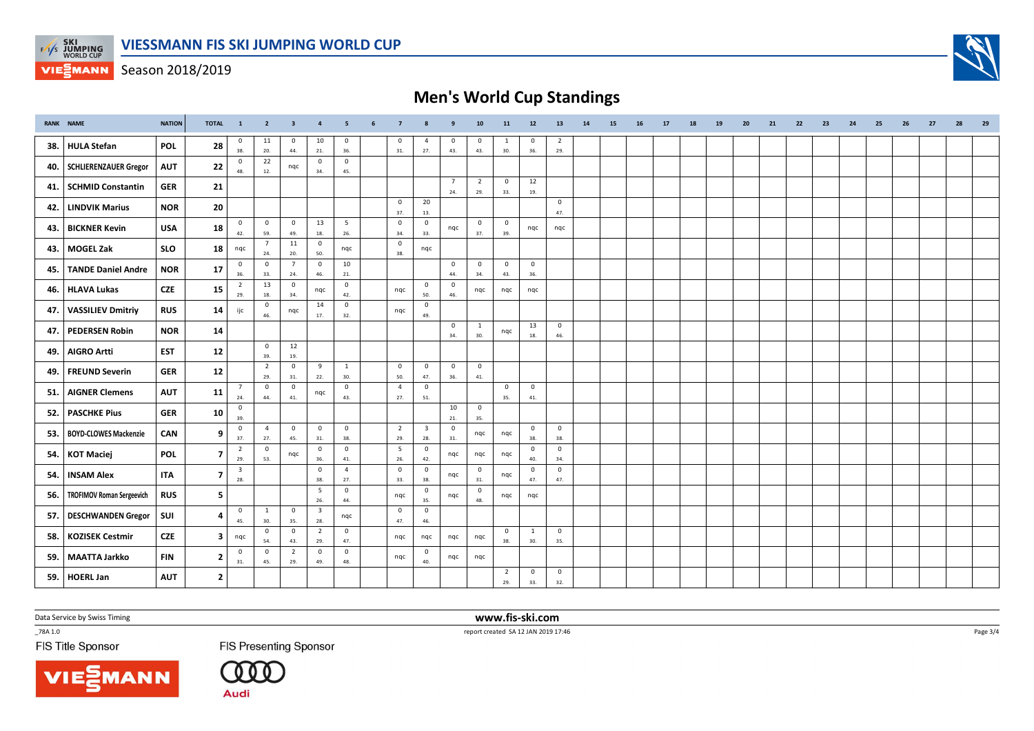

VIESMANN Season 2018/2019

# **Men's World Cup Standings**

|     | <b>RANK NAME</b>                 | <b>NATION</b> | <b>TOTAL</b>   | $\overline{\mathbf{1}}$        | $\overline{2}$        | $\overline{\mathbf{3}}$ | $\overline{4}$                 | 5                     | 6 | $\overline{7}$        |                                | 9                     | 10                    | 11                    | $12$                | 13                    | 14 | 15 | 16 | 17 | 18 | 19 | 20 | 21 | 22 | 23 | 24 | 25 | 26 | 27 | 28 | 29 |
|-----|----------------------------------|---------------|----------------|--------------------------------|-----------------------|-------------------------|--------------------------------|-----------------------|---|-----------------------|--------------------------------|-----------------------|-----------------------|-----------------------|---------------------|-----------------------|----|----|----|----|----|----|----|----|----|----|----|----|----|----|----|----|
| 38. | <b>HULA Stefan</b>               | POL           | 28             | 0<br>38.                       | 11<br>20.             | $^{\circ}$<br>44.       | 10<br>21.                      | $\mathbf 0$<br>36.    |   | $\mathbf 0$<br>31.    | 4<br>27.                       | $\mathbf 0$<br>43.    | $\mathbf 0$<br>43.    | 1<br>30.              | $^{\circ}$<br>36.   | $\overline{2}$<br>29. |    |    |    |    |    |    |    |    |    |    |    |    |    |    |    |    |
| 40. | <b>SCHLIERENZAUER Gregor</b>     | <b>AUT</b>    | 22             | $^{\circ}$<br>48.              | 22<br>12.             | nqc                     | $\mathbf 0$<br>34.             | $\overline{0}$<br>45. |   |                       |                                |                       |                       |                       |                     |                       |    |    |    |    |    |    |    |    |    |    |    |    |    |    |    |    |
| 41. | <b>SCHMID Constantin</b>         | <b>GER</b>    | 21             |                                |                       |                         |                                |                       |   |                       |                                | $\overline{7}$<br>24. | $\overline{2}$<br>29. | $\circ$<br>33.        | 12<br>19.           |                       |    |    |    |    |    |    |    |    |    |    |    |    |    |    |    |    |
| 42. | <b>LINDVIK Marius</b>            | <b>NOR</b>    | 20             |                                |                       |                         |                                |                       |   | $\mathbf 0$<br>37.    | 20<br>13.                      |                       |                       |                       |                     | $\circ$<br>47.        |    |    |    |    |    |    |    |    |    |    |    |    |    |    |    |    |
| 43. | <b>BICKNER Kevin</b>             | <b>USA</b>    | 18             | $\overline{0}$<br>42.          | $\overline{0}$<br>59. | $\mathbf 0$<br>49.      | 13<br>18.                      | 5<br>26.              |   | $\mathbf{0}$<br>34.   | $\mathbf 0$<br>33.             | nqc                   | $\overline{0}$<br>37. | $\mathsf 0$<br>39.    | nqc                 | nqc                   |    |    |    |    |    |    |    |    |    |    |    |    |    |    |    |    |
| 43. | MOGEL Zak                        | <b>SLO</b>    | 18             | nqc                            | 7<br>24.              | 11<br>20.               | $\mathbf 0$<br>50.             | nqc                   |   | $\overline{0}$<br>38. | ngc                            |                       |                       |                       |                     |                       |    |    |    |    |    |    |    |    |    |    |    |    |    |    |    |    |
| 45. | <b>TANDE Daniel Andre</b>        | <b>NOR</b>    | 17             | 0<br>36.                       | $\overline{0}$<br>33. | $\overline{7}$<br>24.   | $\mathsf 0$<br>46.             | 10<br>21.             |   |                       |                                | $\overline{0}$<br>44. | $\overline{0}$<br>34. | $\mathsf 0$<br>43.    | $\mathbf 0$<br>36.  |                       |    |    |    |    |    |    |    |    |    |    |    |    |    |    |    |    |
| 46. | <b>HLAVA Lukas</b>               | <b>CZE</b>    | 15             | $\overline{2}$<br>29.          | 13<br>18.             | $^{\circ}$<br>34.       | nqc                            | $\overline{0}$<br>42. |   | nqc                   | $\mathbf 0$<br>50.             | $\overline{0}$<br>46. | nqc                   | nqc                   | nqc                 |                       |    |    |    |    |    |    |    |    |    |    |    |    |    |    |    |    |
| 47. | <b>VASSILIEV Dmitriv</b>         | <b>RUS</b>    | 14             | ijc                            | $\mathbf 0$<br>46.    | nqc                     | 14<br>17.                      | $\overline{0}$<br>32. |   | nqc                   | $\mathbf 0$<br>49.             |                       |                       |                       |                     |                       |    |    |    |    |    |    |    |    |    |    |    |    |    |    |    |    |
| 47. | <b>PEDERSEN Robin</b>            | <b>NOR</b>    | 14             |                                |                       |                         |                                |                       |   |                       |                                | $\overline{0}$<br>34. | $\overline{1}$<br>30. | ngc                   | 13<br>18.           | $\mathsf 0$<br>46.    |    |    |    |    |    |    |    |    |    |    |    |    |    |    |    |    |
| 49. | <b>AIGRO Artti</b>               | <b>EST</b>    | 12             |                                | $\mathbf 0$<br>39.    | 12<br>19.               |                                |                       |   |                       |                                |                       |                       |                       |                     |                       |    |    |    |    |    |    |    |    |    |    |    |    |    |    |    |    |
| 49. | <b>FREUND Severin</b>            | <b>GER</b>    | 12             |                                | $\overline{2}$<br>29. | $\circ$<br>31.          | 9<br>22.                       | $\mathbf{1}$<br>30.   |   | $\mathbf 0$<br>50.    | $\mathbf 0$<br>47.             | $\overline{0}$<br>36. | $\overline{0}$<br>41. |                       |                     |                       |    |    |    |    |    |    |    |    |    |    |    |    |    |    |    |    |
| 51. | <b>AIGNER Clemens</b>            | <b>AUT</b>    | 11             | $\overline{7}$<br>24.          | $\mathbf 0$<br>44.    | $\circ$<br>41.          | nqc                            | $\mathbf 0$<br>43.    |   | $\overline{4}$<br>27. | $\mathbf 0$<br>51.             |                       |                       | $\circ$<br>35.        | $\mathbf{0}$<br>41. |                       |    |    |    |    |    |    |    |    |    |    |    |    |    |    |    |    |
| 52. | <b>PASCHKE Pius</b>              | <b>GER</b>    | 10             | $\mathbf 0$<br>39.             |                       |                         |                                |                       |   |                       |                                | 10<br>21.             | $\overline{0}$<br>35. |                       |                     |                       |    |    |    |    |    |    |    |    |    |    |    |    |    |    |    |    |
| 53. | <b>BOYD-CLOWES Mackenzie</b>     | CAN           | 9              | $\mathbf 0$<br>37.             | $\overline{4}$<br>27. | $\circ$<br>45.          | $\mathbf 0$<br>31.             | $\mathbf{0}$<br>38.   |   | $\overline{2}$<br>29. | $\overline{\mathbf{3}}$<br>28. | $\overline{0}$<br>31. | nqc                   | nqc                   | $\circ$<br>38.      | $\mathbf 0$<br>38.    |    |    |    |    |    |    |    |    |    |    |    |    |    |    |    |    |
| 54. | <b>KOT Maciej</b>                | <b>POL</b>    | $\overline{7}$ | $\overline{2}$<br>29.          | $\mathbf 0$<br>53.    | nqc                     | $\mathbf 0$<br>36.             | $\mathbf 0$<br>41.    |   | 5<br>26.              | $\mathbf 0$<br>42.             | nqc                   | nqc                   | ngc                   | $\mathbf 0$<br>40.  | $\mathsf 0$<br>34.    |    |    |    |    |    |    |    |    |    |    |    |    |    |    |    |    |
| 54. | <b>INSAM Alex</b>                | <b>ITA</b>    | $\overline{7}$ | $\overline{\mathbf{3}}$<br>28. |                       |                         | $\mathbf 0$<br>38.             | $\overline{4}$<br>27. |   | $\mathbf 0$<br>33.    | $\mathbf 0$<br>38.             | nqc                   | $\overline{0}$<br>31. | nqc                   | $\mathbf 0$<br>47.  | $\mathbf 0$<br>47.    |    |    |    |    |    |    |    |    |    |    |    |    |    |    |    |    |
| 56. | <b>TROFIMOV Roman Sergeevich</b> | <b>RUS</b>    | 5              |                                |                       |                         | 5<br>26.                       | $\mathbf 0$<br>44.    |   | nqc                   | $\mathbf 0$<br>35.             | ngc                   | $\overline{0}$<br>48. | nqc                   | nqc                 |                       |    |    |    |    |    |    |    |    |    |    |    |    |    |    |    |    |
| 57. | <b>DESCHWANDEN Gregor</b>        | SUI           | 4              | $\mathbf 0$<br>45.             | $\mathbf{1}$<br>30.   | $\mathbf{0}$<br>35.     | $\overline{\mathbf{3}}$<br>28. | nqc                   |   | $\mathbf 0$<br>47.    | $\mathbf 0$<br>46.             |                       |                       |                       |                     |                       |    |    |    |    |    |    |    |    |    |    |    |    |    |    |    |    |
| 58. | <b>KOZISEK Cestmir</b>           | <b>CZE</b>    | 3              | nqc                            | $\mathbf 0$<br>54.    | $\mathbf 0$<br>43.      | $\overline{2}$<br>29.          | $\mathbf 0$<br>47.    |   | nqc                   | nqc                            | nqc                   | nqc                   | $\circ$<br>38.        | <sup>1</sup><br>30. | $\mathsf 0$<br>35.    |    |    |    |    |    |    |    |    |    |    |    |    |    |    |    |    |
| 59. | <b>MAATTA Jarkko</b>             | <b>FIN</b>    | $\overline{2}$ | $\mathbf 0$<br>31.             | $\mathbf 0$<br>45.    | 2<br>29.                | $\mathsf 0$<br>49.             | $\mathbf 0$<br>48.    |   | nqc                   | $\mathbf 0$<br>40.             | nqc                   | nqc                   |                       |                     |                       |    |    |    |    |    |    |    |    |    |    |    |    |    |    |    |    |
| 59. | <b>HOERL Jan</b>                 | <b>AUT</b>    | $\overline{2}$ |                                |                       |                         |                                |                       |   |                       |                                |                       |                       | $\overline{2}$<br>29. | $\mathbf 0$<br>33.  | $\mathsf 0$<br>32.    |    |    |    |    |    |    |    |    |    |    |    |    |    |    |    |    |

Data Service by Swiss Timing

 $-78A 1.0$ 

FIS Title Sponsor

**MANN** 

**FIS Presenting Sponsor** 

 $(000$ Audi

 **www.fis-ski.com**report created SA 12 JAN 2019 17:46

Page 3/4